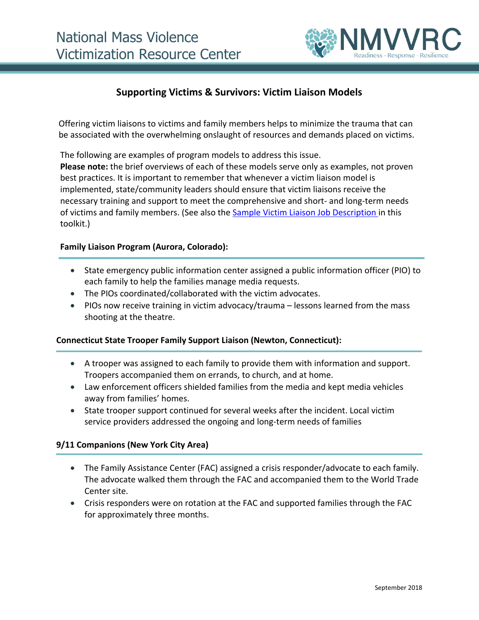

# **Supporting Victims & Survivors: Victim Liaison Models**

Offering victim liaisons to victims and family members helps to minimize the trauma that can be associated with the overwhelming onslaught of resources and demands placed on victims.

The following are examples of program models to address this issue.

**Please note:** the brief overviews of each of these models serve only as examples, not proven best practices. It is important to remember that whenever a victim liaison model is implemented, state/community leaders should ensure that victim liaisons receive the necessary training and support to meet the comprehensive and short- and long-term needs of victims and family members. (See also the [Sample Victim Liaison Job Description i](https://www.ovc.gov/pubs/mvt-toolkit/Sample_SampleVictimLiaisonJobDescription.pdf)n this toolkit.)

#### **Family Liaison Program (Aurora, Colorado):**

- State emergency public information center assigned a public information officer (PIO) to each family to help the families manage media requests.
- The PIOs coordinated/collaborated with the victim advocates.
- PIOs now receive training in victim advocacy/trauma lessons learned from the mass shooting at the theatre.

#### **Connecticut State Trooper Family Support Liaison (Newton, Connecticut):**

- A trooper was assigned to each family to provide them with information and support. Troopers accompanied them on errands, to church, and at home.
- Law enforcement officers shielded families from the media and kept media vehicles away from families' homes.
- State trooper support continued for several weeks after the incident. Local victim service providers addressed the ongoing and long-term needs of families

# **9/11 Companions (New York City Area)**

- The Family Assistance Center (FAC) assigned a crisis responder/advocate to each family. The advocate walked them through the FAC and accompanied them to the World Trade Center site.
- Crisis responders were on rotation at the FAC and supported families through the FAC for approximately three months.